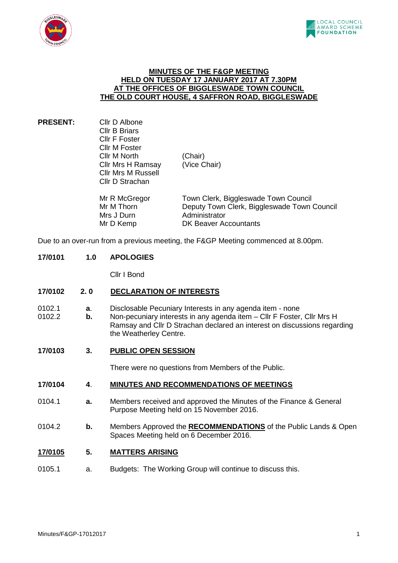



## **MINUTES OF THE F&GP MEETING HELD ON TUESDAY 17 JANUARY 2017 AT 7.30PM AT THE OFFICES OF BIGGLESWADE TOWN COUNCIL THE OLD COURT HOUSE, 4 SAFFRON ROAD, BIGGLESWADE**

## **PRESENT:** Cllr D Albone Cllr B Briars Cllr F Foster Cllr M Foster Cllr M North (Chair)<br>Cllr Mrs H Ramsay (Vice Chair) Cllr Mrs H Ramsay Cllr Mrs M Russell Cllr D Strachan

| Mr R McGregor | Town Clerk, Biggleswade Town Council        |
|---------------|---------------------------------------------|
| Mr M Thorn    | Deputy Town Clerk, Biggleswade Town Council |
| Mrs J Durn    | Administrator                               |
| Mr D Kemp     | DK Beaver Accountants                       |

Due to an over-run from a previous meeting, the F&GP Meeting commenced at 8.00pm.

# **17/0101 1.0 APOLOGIES**

Cllr I Bond

# **17/0102 2. 0 DECLARATION OF INTERESTS**

- 0102.1 **a**. Disclosable Pecuniary Interests in any agenda item none
- 0102.2 **b.** Non-pecuniary interests in any agenda item Cllr F Foster, Cllr Mrs H Ramsay and Cllr D Strachan declared an interest on discussions regarding the Weatherley Centre.

### **17/0103 3. PUBLIC OPEN SESSION**

There were no questions from Members of the Public.

### **17/0104 4**. **MINUTES AND RECOMMENDATIONS OF MEETINGS**

- 0104.1 **a.** Members received and approved the Minutes of the Finance & General Purpose Meeting held on 15 November 2016.
- 0104.2 **b.** Members Approved the **RECOMMENDATIONS** of the Public Lands & Open Spaces Meeting held on 6 December 2016.

### **17/0105 5. MATTERS ARISING**

0105.1 a. Budgets: The Working Group will continue to discuss this.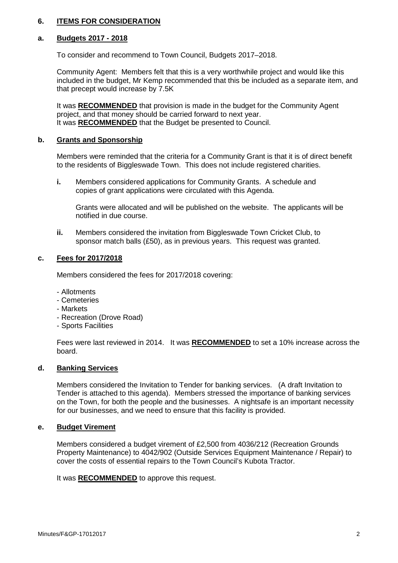# **6. ITEMS FOR CONSIDERATION**

# **a. Budgets 2017 - 2018**

To consider and recommend to Town Council, Budgets 2017–2018.

Community Agent: Members felt that this is a very worthwhile project and would like this included in the budget, Mr Kemp recommended that this be included as a separate item, and that precept would increase by 7.5K

It was **RECOMMENDED** that provision is made in the budget for the Community Agent project, and that money should be carried forward to next year. It was **RECOMMENDED** that the Budget be presented to Council.

## **b. Grants and Sponsorship**

Members were reminded that the criteria for a Community Grant is that it is of direct benefit to the residents of Biggleswade Town. This does not include registered charities.

**i.** Members considered applications for Community Grants. A schedule and copies of grant applications were circulated with this Agenda.

Grants were allocated and will be published on the website. The applicants will be notified in due course.

**ii.** Members considered the invitation from Biggleswade Town Cricket Club, to sponsor match balls (£50), as in previous years. This request was granted.

# **c. Fees for 2017/2018**

Members considered the fees for 2017/2018 covering:

- Allotments
- Cemeteries
- Markets
- Recreation (Drove Road)
- Sports Facilities

Fees were last reviewed in 2014. It was **RECOMMENDED** to set a 10% increase across the board.

### **d. Banking Services**

Members considered the Invitation to Tender for banking services. (A draft Invitation to Tender is attached to this agenda). Members stressed the importance of banking services on the Town, for both the people and the businesses. A nightsafe is an important necessity for our businesses, and we need to ensure that this facility is provided.

### **e. Budget Virement**

Members considered a budget virement of £2,500 from 4036/212 (Recreation Grounds Property Maintenance) to 4042/902 (Outside Services Equipment Maintenance / Repair) to cover the costs of essential repairs to the Town Council's Kubota Tractor.

It was **RECOMMENDED** to approve this request.